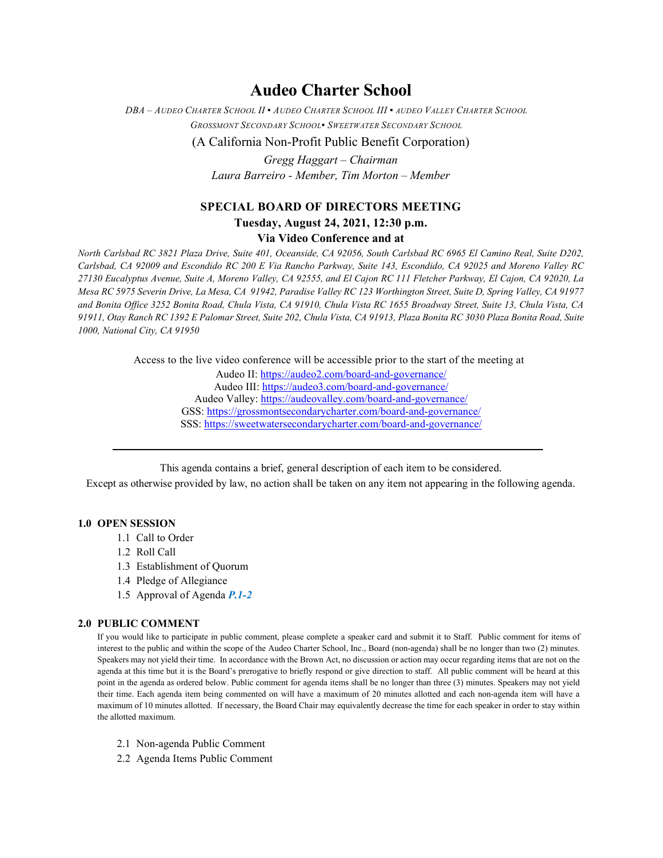# **Audeo Charter School**

*DBA – AUDEO CHARTER SCHOOL II ▪ AUDEO CHARTER SCHOOL III ▪ AUDEO VALLEY CHARTER SCHOOL GROSSMONT SECONDARY SCHOOL▪ SWEETWATER SECONDARY SCHOOL*

(A California Non-Profit Public Benefit Corporation)

*Gregg Haggart – Chairman Laura Barreiro - Member, Tim Morton – Member*

# **SPECIAL BOARD OF DIRECTORS MEETING Tuesday, August 24, 2021, 12:30 p.m.**

**Via Video Conference and at**

*North Carlsbad RC 3821 Plaza Drive, Suite 401, Oceanside, CA 92056, South Carlsbad RC 6965 El Camino Real, Suite D202, Carlsbad, CA 92009 and Escondido RC 200 E Via Rancho Parkway, Suite 143, Escondido, CA 92025 and Moreno Valley RC 27130 Eucalyptus Avenue, Suite A, Moreno Valley, CA 92555, and El Cajon RC 111 Fletcher Parkway, El Cajon, CA 92020, La Mesa RC 5975 Severin Drive, La Mesa, CA 91942, Paradise Valley RC 123 Worthington Street, Suite D, Spring Valley, CA 91977 and Bonita Office 3252 Bonita Road, Chula Vista, CA 91910, Chula Vista RC 1655 Broadway Street, Suite 13, Chula Vista, CA 91911, Otay Ranch RC 1392 E Palomar Street, Suite 202, Chula Vista, CA 91913, Plaza Bonita RC 3030 Plaza Bonita Road, Suite 1000, National City, CA 91950*

Access to the live video conference will be accessible prior to the start of the meeting at

Audeo II[: https://audeo2.com/board-and-governance/](https://audeo2.com/board-and-governance/) Audeo III:<https://audeo3.com/board-and-governance/> Audeo Valley:<https://audeovalley.com/board-and-governance/> GSS:<https://grossmontsecondarycharter.com/board-and-governance/> SSS:<https://sweetwatersecondarycharter.com/board-and-governance/>

This agenda contains a brief, general description of each item to be considered.

Except as otherwise provided by law, no action shall be taken on any item not appearing in the following agenda.

## **1.0 OPEN SESSION**

- 1.1 Call to Order
- 1.2 Roll Call
- 1.3 Establishment of Quorum
- 1.4 Pledge of Allegiance
- 1.5 Approval of Agenda *P.1-2*

### **2.0 PUBLIC COMMENT**

If you would like to participate in public comment, please complete a speaker card and submit it to Staff. Public comment for items of interest to the public and within the scope of the Audeo Charter School, Inc., Board (non-agenda) shall be no longer than two (2) minutes. Speakers may not yield their time. In accordance with the Brown Act, no discussion or action may occur regarding items that are not on the agenda at this time but it is the Board's prerogative to briefly respond or give direction to staff. All public comment will be heard at this point in the agenda as ordered below. Public comment for agenda items shall be no longer than three (3) minutes. Speakers may not yield their time. Each agenda item being commented on will have a maximum of 20 minutes allotted and each non-agenda item will have a maximum of 10 minutes allotted. If necessary, the Board Chair may equivalently decrease the time for each speaker in order to stay within the allotted maximum.

- 2.1 Non-agenda Public Comment
- 2.2 Agenda Items Public Comment